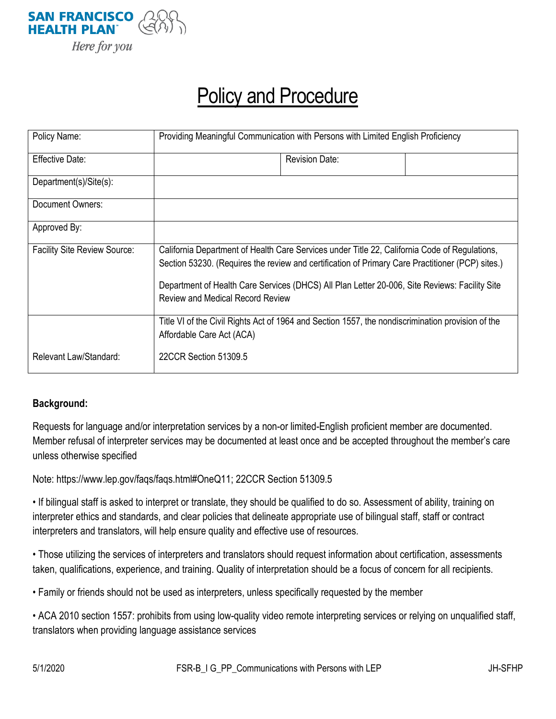

# Policy and Procedure

| Policy Name:                        | Providing Meaningful Communication with Persons with Limited English Proficiency                                                                                                                                                                                                                                                              |                       |  |
|-------------------------------------|-----------------------------------------------------------------------------------------------------------------------------------------------------------------------------------------------------------------------------------------------------------------------------------------------------------------------------------------------|-----------------------|--|
| <b>Effective Date:</b>              |                                                                                                                                                                                                                                                                                                                                               | <b>Revision Date:</b> |  |
| Department(s)/Site(s):              |                                                                                                                                                                                                                                                                                                                                               |                       |  |
| Document Owners:                    |                                                                                                                                                                                                                                                                                                                                               |                       |  |
| Approved By:                        |                                                                                                                                                                                                                                                                                                                                               |                       |  |
| <b>Facility Site Review Source:</b> | California Department of Health Care Services under Title 22, California Code of Regulations,<br>Section 53230. (Requires the review and certification of Primary Care Practitioner (PCP) sites.)<br>Department of Health Care Services (DHCS) All Plan Letter 20-006, Site Reviews: Facility Site<br><b>Review and Medical Record Review</b> |                       |  |
|                                     | Title VI of the Civil Rights Act of 1964 and Section 1557, the nondiscrimination provision of the<br>Affordable Care Act (ACA)                                                                                                                                                                                                                |                       |  |
| Relevant Law/Standard:              | 22CCR Section 51309.5                                                                                                                                                                                                                                                                                                                         |                       |  |

#### **Background:**

Requests for language and/or interpretation services by a non-or limited-English proficient member are documented. Member refusal of interpreter services may be documented at least once and be accepted throughout the member's care unless otherwise specified

Note: https://www.lep.gov/faqs/faqs.html#OneQ11; 22CCR Section 51309.5

• If bilingual staff is asked to interpret or translate, they should be qualified to do so. Assessment of ability, training on interpreter ethics and standards, and clear policies that delineate appropriate use of bilingual staff, staff or contract interpreters and translators, will help ensure quality and effective use of resources.

• Those utilizing the services of interpreters and translators should request information about certification, assessments taken, qualifications, experience, and training. Quality of interpretation should be a focus of concern for all recipients.

• Family or friends should not be used as interpreters, unless specifically requested by the member

• ACA 2010 section 1557: prohibits from using low-quality video remote interpreting services or relying on unqualified staff, translators when providing language assistance services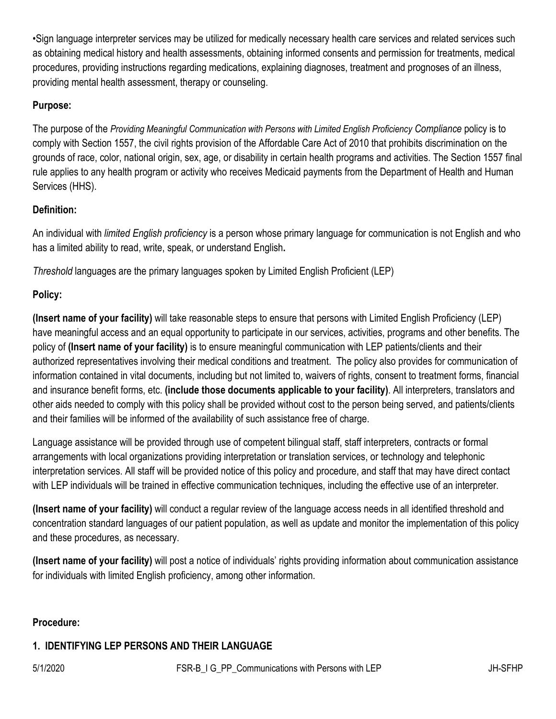•Sign language interpreter services may be utilized for medically necessary health care services and related services such as obtaining medical history and health assessments, obtaining informed consents and permission for treatments, medical procedures, providing instructions regarding medications, explaining diagnoses, treatment and prognoses of an illness, providing mental health assessment, therapy or counseling.

## **Purpose:**

The purpose of the *Providing Meaningful Communication with Persons with Limited English Proficiency Compliance* policy is to comply with Section 1557, the civil rights provision of the Affordable Care Act of 2010 that prohibits discrimination on the grounds of race, color, national origin, sex, age, or disability in certain health programs and activities. The Section 1557 final rule applies to any health program or activity who receives Medicaid payments from the Department of Health and Human Services (HHS).

# **Definition:**

An individual with *limited English proficiency* is a person whose primary language for communication is not English and who has a limited ability to read, write, speak, or understand English**.**

*Threshold* languages are the primary languages spoken by Limited English Proficient (LEP)

## **Policy:**

**(Insert name of your facility)** will take reasonable steps to ensure that persons with Limited English Proficiency (LEP) have meaningful access and an equal opportunity to participate in our services, activities, programs and other benefits. The policy of **(Insert name of your facility)** is to ensure meaningful communication with LEP patients/clients and their authorized representatives involving their medical conditions and treatment. The policy also provides for communication of information contained in vital documents, including but not limited to, waivers of rights, consent to treatment forms, financial and insurance benefit forms, etc. **(include those documents applicable to your facility)**. All interpreters, translators and other aids needed to comply with this policy shall be provided without cost to the person being served, and patients/clients and their families will be informed of the availability of such assistance free of charge.

Language assistance will be provided through use of competent bilingual staff, staff interpreters, contracts or formal arrangements with local organizations providing interpretation or translation services, or technology and telephonic interpretation services. All staff will be provided notice of this policy and procedure, and staff that may have direct contact with LEP individuals will be trained in effective communication techniques, including the effective use of an interpreter.

**(Insert name of your facility)** will conduct a regular review of the language access needs in all identified threshold and concentration standard languages of our patient population, as well as update and monitor the implementation of this policy and these procedures, as necessary.

**(Insert name of your facility)** will post a notice of individuals' rights providing information about communication assistance for individuals with limited English proficiency, among other information.

## **Procedure:**

# **1. IDENTIFYING LEP PERSONS AND THEIR LANGUAGE**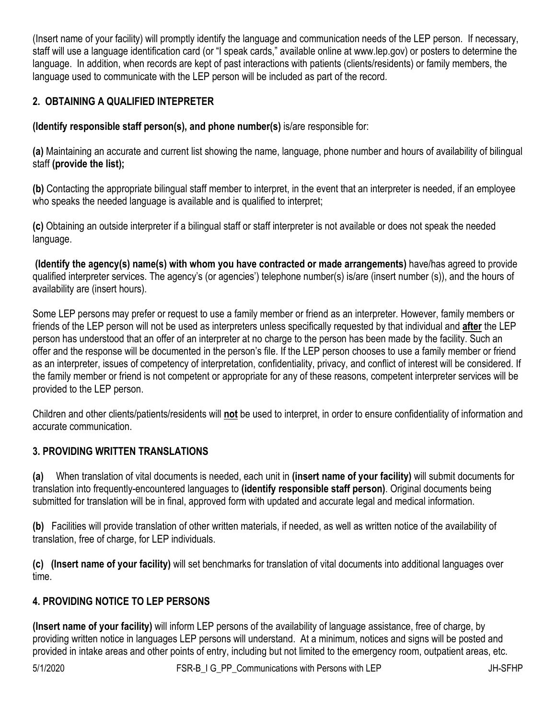(Insert name of your facility) will promptly identify the language and communication needs of the LEP person. If necessary, staff will use a language identification card (or "I speak cards," available online at www.lep.gov) or posters to determine the language. In addition, when records are kept of past interactions with patients (clients/residents) or family members, the language used to communicate with the LEP person will be included as part of the record.

# **2. OBTAINING A QUALIFIED INTEPRETER**

**(Identify responsible staff person(s), and phone number(s)** is/are responsible for:

**(a)** Maintaining an accurate and current list showing the name, language, phone number and hours of availability of bilingual staff **(provide the list);**

**(b)** Contacting the appropriate bilingual staff member to interpret, in the event that an interpreter is needed, if an employee who speaks the needed language is available and is qualified to interpret;

**(c)** Obtaining an outside interpreter if a bilingual staff or staff interpreter is not available or does not speak the needed language.

**(Identify the agency(s) name(s) with whom you have contracted or made arrangements)** have/has agreed to provide qualified interpreter services. The agency's (or agencies') telephone number(s) is/are (insert number (s)), and the hours of availability are (insert hours).

Some LEP persons may prefer or request to use a family member or friend as an interpreter. However, family members or friends of the LEP person will not be used as interpreters unless specifically requested by that individual and **after** the LEP person has understood that an offer of an interpreter at no charge to the person has been made by the facility. Such an offer and the response will be documented in the person's file. If the LEP person chooses to use a family member or friend as an interpreter, issues of competency of interpretation, confidentiality, privacy, and conflict of interest will be considered. If the family member or friend is not competent or appropriate for any of these reasons, competent interpreter services will be provided to the LEP person.

Children and other clients/patients/residents will **not** be used to interpret, in order to ensure confidentiality of information and accurate communication.

## **3. PROVIDING WRITTEN TRANSLATIONS**

**(a)** When translation of vital documents is needed, each unit in **(insert name of your facility)** will submit documents for translation into frequently-encountered languages to **(identify responsible staff person)**. Original documents being submitted for translation will be in final, approved form with updated and accurate legal and medical information.

**(b)** Facilities will provide translation of other written materials, if needed, as well as written notice of the availability of translation, free of charge, for LEP individuals.

**(c) (Insert name of your facility)** will set benchmarks for translation of vital documents into additional languages over time.

## **4. PROVIDING NOTICE TO LEP PERSONS**

**(Insert name of your facility)** will inform LEP persons of the availability of language assistance, free of charge, by providing written notice in languages LEP persons will understand. At a minimum, notices and signs will be posted and provided in intake areas and other points of entry, including but not limited to the emergency room, outpatient areas, etc.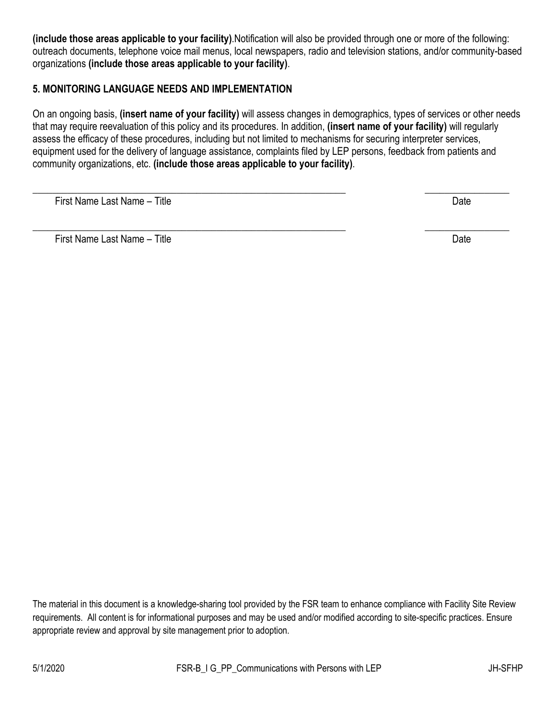**(include those areas applicable to your facility)**.Notification will also be provided through one or more of the following: outreach documents, telephone voice mail menus, local newspapers, radio and television stations, and/or community-based organizations **(include those areas applicable to your facility)**.

#### **5. MONITORING LANGUAGE NEEDS AND IMPLEMENTATION**

On an ongoing basis, **(insert name of your facility)** will assess changes in demographics, types of services or other needs that may require reevaluation of this policy and its procedures. In addition, **(insert name of your facility)** will regularly assess the efficacy of these procedures, including but not limited to mechanisms for securing interpreter services, equipment used for the delivery of language assistance, complaints filed by LEP persons, feedback from patients and community organizations, etc. **(include those areas applicable to your facility)**.

\_\_\_\_\_\_\_\_\_\_\_\_\_\_\_\_\_\_\_\_\_\_\_\_\_\_\_\_\_\_\_\_\_\_\_\_\_\_\_\_\_\_\_\_\_\_\_\_\_\_\_\_\_\_\_\_\_\_\_\_\_\_\_ \_\_\_\_\_\_\_\_\_\_\_\_\_\_\_\_\_

First Name Last Name – Title Date

First Name Last Name – Title Date

\_\_\_\_\_\_\_\_\_\_\_\_\_\_\_\_\_\_\_\_\_\_\_\_\_\_\_\_\_\_\_\_\_\_\_\_\_\_\_\_\_\_\_\_\_\_\_\_\_\_\_\_\_\_\_\_\_\_\_\_\_\_\_ \_\_\_\_\_\_\_\_\_\_\_\_\_\_\_\_\_

The material in this document is a knowledge-sharing tool provided by the FSR team to enhance compliance with Facility Site Review requirements. All content is for informational purposes and may be used and/or modified according to site-specific practices. Ensure appropriate review and approval by site management prior to adoption.